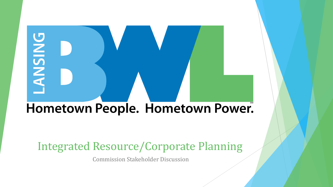# **ANSING** Hometown People. Hometown Power.

### Integrated Resource/Corporate Planning

Commission Stakeholder Discussion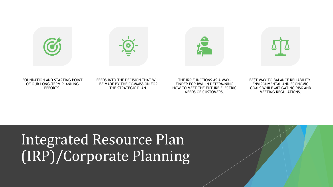







FOUNDATION AND STARTING POINT OF OUR LONG-TERM PLANNING EFFORTS.

#### FEEDS INTO THE DECISION THAT WILL BE MADE BY THE COMMISSION FOR THE STRATEGIC PLAN.

THE IRP FUNCTIONS AS A WAY-FINDER FOR BWL IN DETERMINING HOW TO MEET THE FUTURE ELECTRIC NEEDS OF CUSTOMERS.



## Integrated Resource Plan (IRP)/Corporate Planning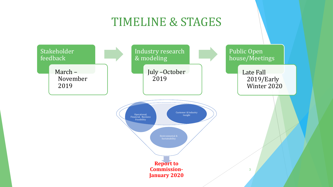### TIMELINE & STAGES

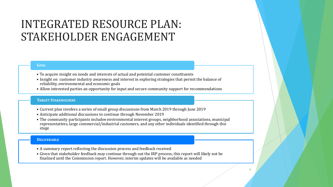### INTEGRATED RESOURCE PLAN: STAKEHOLDER ENGAGEMENT

#### **GOAL**

- To acquire insight on needs and interests of actual and potential customer constituents
- Insight on customer industry awareness and interest in exploring strategies that permit the balance of reliability, environmental and economic goals
- Allow interested parties an opportunity for input and secure community support for recommendations

#### **TARGET STAKEHOLDERS**

- Current plan involves a series of small group discussions from March 2019 through June 2019
- Anticipate additional discussions to continue through November 2019
- The community participants includes environmental interest groups, neighborhood associations, municipal representatives, large commercial/industrial customers, and any other individuals identified through this stage

#### **DELIVERABLE**

- A summary report reflecting the discussion process and feedback received
- Given that stakeholder feedback may continue through out the IRP process, this report will likely not be finalized until the Commission report. However, interim updates will be available as needed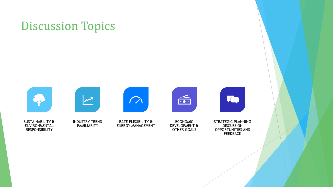### Discussion Topics



SUSTAINABILITY & ENVIRONMENTAL RESPONSIBILITY



INDUSTRY TREND FAMILIARITY



RATE FLEXIBILITY & ENERGY MANAGEMENT



ECONOMIC DEVELOPMENT & OTHER GOALS



STRATEGIC PLANNING DISCUSSION OPPORTUNITIES AND FEEDBACK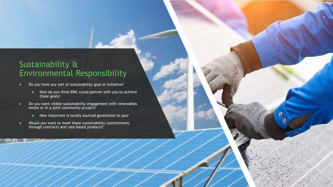### Sustainability & Environmental Responsibility

- Do you have any sort of sustainability goal or initiative?
	- ▶ How do you think BWL could partner with you to achieve those goals?

O

െ

- ▶ Do you want visible sustainability engagement with renewables onsite or in a joint community project?
	- How important is locally sourced generation to you?
- ▶ Would you want to meet these sustainability commitments through contracts and rate-based products?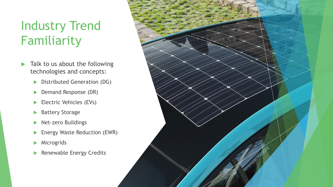### Industry Trend Familiarity

- $\blacktriangleright$  Talk to us about the following technologies and concepts:
	- Distributed Generation (DG)
	- **Demand Response (DR)**
	- Electric Vehicles (EVs)
	- ▶ Battery Storage
	- Net-zero Buildings
	- **Energy Waste Reduction (EWR)**
	- **Microgrids**
	- Renewable Energy Credits

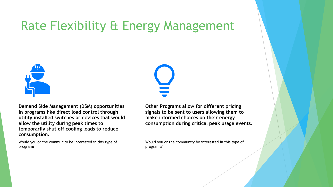### Rate Flexibility & Energy Management



**Demand Side Management (DSM) opportunities in programs like direct load control through utility installed switches or devices that would allow the utility during peak times to temporarily shut off cooling loads to reduce consumption.**

Would you or the community be interested in this type of program?

**Other Programs allow for different pricing signals to be sent to users allowing them to make informed choices on their energy consumption during critical peak usage events.**

Would you or the community be interested in this type of programs?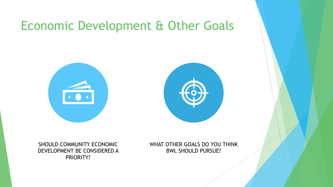### Economic Development & Other Goals



SHOULD COMMUNITY ECONOMIC DEVELOPMENT BE CONSIDERED A PRIORITY?

WHAT OTHER GOALS DO YOU THINK BWL SHOULD PURSUE?